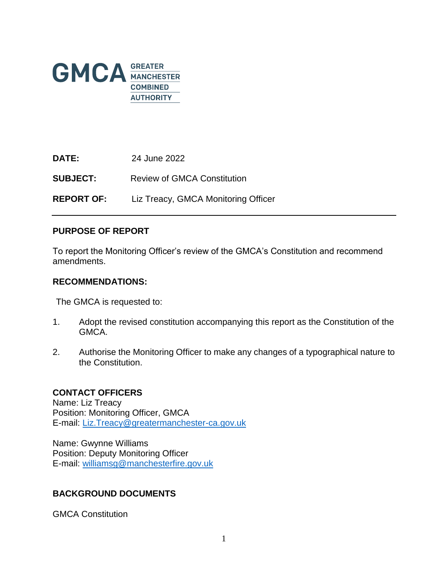

**DATE:** 24 June 2022 **SUBJECT:** Review of GMCA Constitution **REPORT OF:** Liz Treacy, GMCA Monitoring Officer

#### **PURPOSE OF REPORT**

To report the Monitoring Officer's review of the GMCA's Constitution and recommend amendments.

#### **RECOMMENDATIONS:**

The GMCA is requested to:

- 1. Adopt the revised constitution accompanying this report as the Constitution of the GMCA.
- 2. Authorise the Monitoring Officer to make any changes of a typographical nature to the Constitution.

#### **CONTACT OFFICERS**

Name: Liz Treacy Position: Monitoring Officer, GMCA E-mail: [Liz.Treacy@greatermanchester-ca.gov.uk](mailto:Liz.Treacy@greatermanchester-ca.gov.uk)

Name: Gwynne Williams Position: Deputy Monitoring Officer E-mail: [williamsg@manchesterfire.gov.uk](mailto:williamsg@manchesterfire.gov.uk) 

#### **BACKGROUND DOCUMENTS**

GMCA Constitution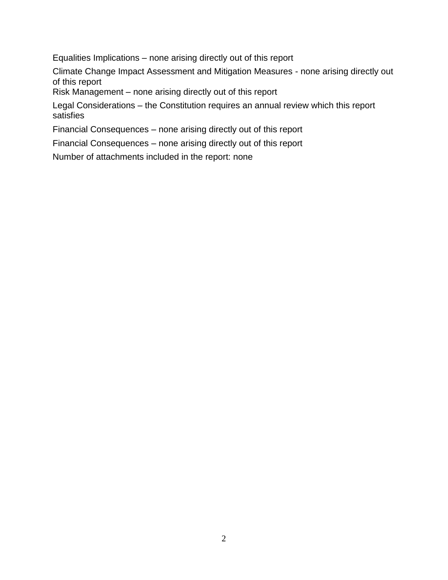Equalities Implications – none arising directly out of this report

Climate Change Impact Assessment and Mitigation Measures - none arising directly out of this report

Risk Management – none arising directly out of this report

Legal Considerations – the Constitution requires an annual review which this report satisfies

Financial Consequences – none arising directly out of this report

Financial Consequences – none arising directly out of this report

Number of attachments included in the report: none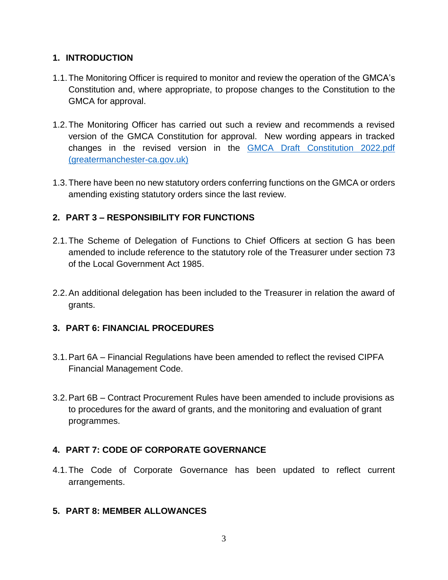### **1. INTRODUCTION**

- 1.1.The Monitoring Officer is required to monitor and review the operation of the GMCA's Constitution and, where appropriate, to propose changes to the Constitution to the GMCA for approval.
- 1.2.The Monitoring Officer has carried out such a review and recommends a revised version of the GMCA Constitution for approval. New wording appears in tracked changes in the revised version in the [GMCA Draft Constitution 2022.pdf](https://democracy.greatermanchester-ca.gov.uk/documents/s21279/GMCA%20Draft%20Constitution%202022.pdf)  [\(greatermanchester-ca.gov.uk\)](https://democracy.greatermanchester-ca.gov.uk/documents/s21279/GMCA%20Draft%20Constitution%202022.pdf)
- 1.3.There have been no new statutory orders conferring functions on the GMCA or orders amending existing statutory orders since the last review.

# **2. PART 3 – RESPONSIBILITY FOR FUNCTIONS**

- 2.1.The Scheme of Delegation of Functions to Chief Officers at section G has been amended to include reference to the statutory role of the Treasurer under section 73 of the Local Government Act 1985.
- 2.2.An additional delegation has been included to the Treasurer in relation the award of grants.

# **3. PART 6: FINANCIAL PROCEDURES**

- 3.1.Part 6A Financial Regulations have been amended to reflect the revised CIPFA Financial Management Code.
- 3.2.Part 6B Contract Procurement Rules have been amended to include provisions as to procedures for the award of grants, and the monitoring and evaluation of grant programmes.

# **4. PART 7: CODE OF CORPORATE GOVERNANCE**

4.1.The Code of Corporate Governance has been updated to reflect current arrangements.

### **5. PART 8: MEMBER ALLOWANCES**